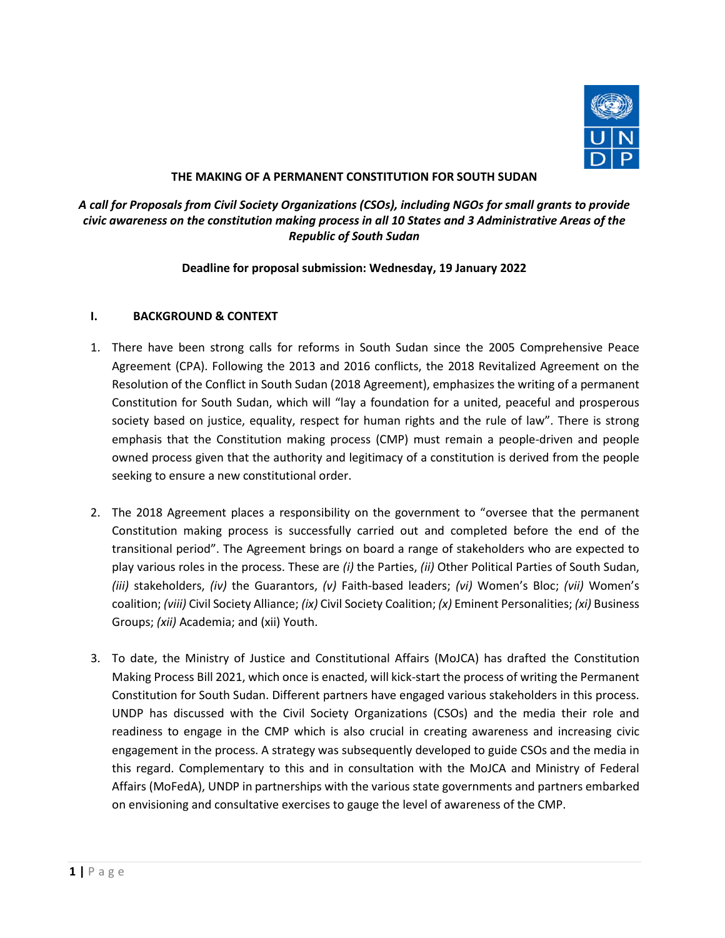

# **THE MAKING OF A PERMANENT CONSTITUTION FOR SOUTH SUDAN**

# *A call for Proposals from Civil Society Organizations (CSOs), including NGOs for small grants to provide civic awareness on the constitution making process in all 10 States and 3 Administrative Areas of the Republic of South Sudan*

## **Deadline for proposal submission: Wednesday, 19 January 2022**

## **I. BACKGROUND & CONTEXT**

- 1. There have been strong calls for reforms in South Sudan since the 2005 Comprehensive Peace Agreement (CPA). Following the 2013 and 2016 conflicts, the 2018 Revitalized Agreement on the Resolution of the Conflict in South Sudan (2018 Agreement), emphasizes the writing of a permanent Constitution for South Sudan, which will "lay a foundation for a united, peaceful and prosperous society based on justice, equality, respect for human rights and the rule of law". There is strong emphasis that the Constitution making process (CMP) must remain a people-driven and people owned process given that the authority and legitimacy of a constitution is derived from the people seeking to ensure a new constitutional order.
- 2. The 2018 Agreement places a responsibility on the government to "oversee that the permanent Constitution making process is successfully carried out and completed before the end of the transitional period". The Agreement brings on board a range of stakeholders who are expected to play various roles in the process. These are *(i)* the Parties, *(ii)* Other Political Parties of South Sudan, *(iii)* stakeholders, *(iv)* the Guarantors, *(v)* Faith-based leaders; *(vi)* Women's Bloc; *(vii)* Women's coalition; *(viii)* Civil Society Alliance; *(ix)* Civil Society Coalition; *(x)* Eminent Personalities; *(xi)* Business Groups; *(xii)* Academia; and (xii) Youth.
- 3. To date, the Ministry of Justice and Constitutional Affairs (MoJCA) has drafted the Constitution Making Process Bill 2021, which once is enacted, will kick-start the process of writing the Permanent Constitution for South Sudan. Different partners have engaged various stakeholders in this process. UNDP has discussed with the Civil Society Organizations (CSOs) and the media their role and readiness to engage in the CMP which is also crucial in creating awareness and increasing civic engagement in the process. A strategy was subsequently developed to guide CSOs and the media in this regard. Complementary to this and in consultation with the MoJCA and Ministry of Federal Affairs (MoFedA), UNDP in partnerships with the various state governments and partners embarked on envisioning and consultative exercises to gauge the level of awareness of the CMP.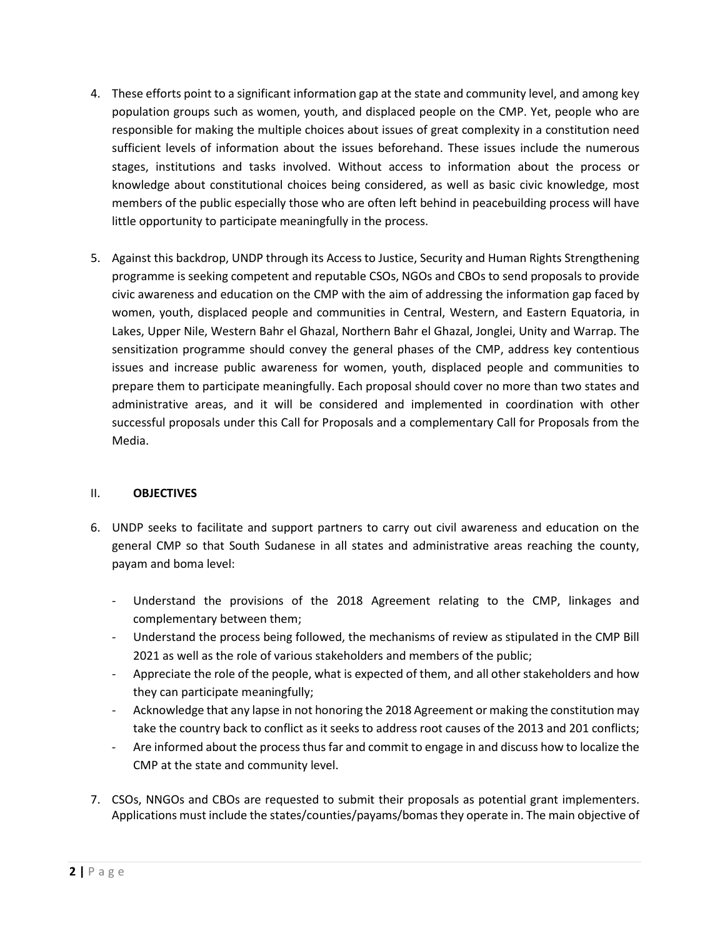- 4. These efforts point to a significant information gap at the state and community level, and among key population groups such as women, youth, and displaced people on the CMP. Yet, people who are responsible for making the multiple choices about issues of great complexity in a constitution need sufficient levels of information about the issues beforehand. These issues include the numerous stages, institutions and tasks involved. Without access to information about the process or knowledge about constitutional choices being considered, as well as basic civic knowledge, most members of the public especially those who are often left behind in peacebuilding process will have little opportunity to participate meaningfully in the process.
- 5. Against this backdrop, UNDP through its Access to Justice, Security and Human Rights Strengthening programme is seeking competent and reputable CSOs, NGOs and CBOs to send proposals to provide civic awareness and education on the CMP with the aim of addressing the information gap faced by women, youth, displaced people and communities in Central, Western, and Eastern Equatoria, in Lakes, Upper Nile, Western Bahr el Ghazal, Northern Bahr el Ghazal, Jonglei, Unity and Warrap. The sensitization programme should convey the general phases of the CMP, address key contentious issues and increase public awareness for women, youth, displaced people and communities to prepare them to participate meaningfully. Each proposal should cover no more than two states and administrative areas, and it will be considered and implemented in coordination with other successful proposals under this Call for Proposals and a complementary Call for Proposals from the Media.

# II. **OBJECTIVES**

- 6. UNDP seeks to facilitate and support partners to carry out civil awareness and education on the general CMP so that South Sudanese in all states and administrative areas reaching the county, payam and boma level:
	- Understand the provisions of the 2018 Agreement relating to the CMP, linkages and complementary between them;
	- Understand the process being followed, the mechanisms of review as stipulated in the CMP Bill 2021 as well as the role of various stakeholders and members of the public;
	- Appreciate the role of the people, what is expected of them, and all other stakeholders and how they can participate meaningfully;
	- Acknowledge that any lapse in not honoring the 2018 Agreement or making the constitution may take the country back to conflict as it seeks to address root causes of the 2013 and 201 conflicts;
	- Are informed about the process thus far and commit to engage in and discuss how to localize the CMP at the state and community level.
- 7. CSOs, NNGOs and CBOs are requested to submit their proposals as potential grant implementers. Applications must include the states/counties/payams/bomas they operate in. The main objective of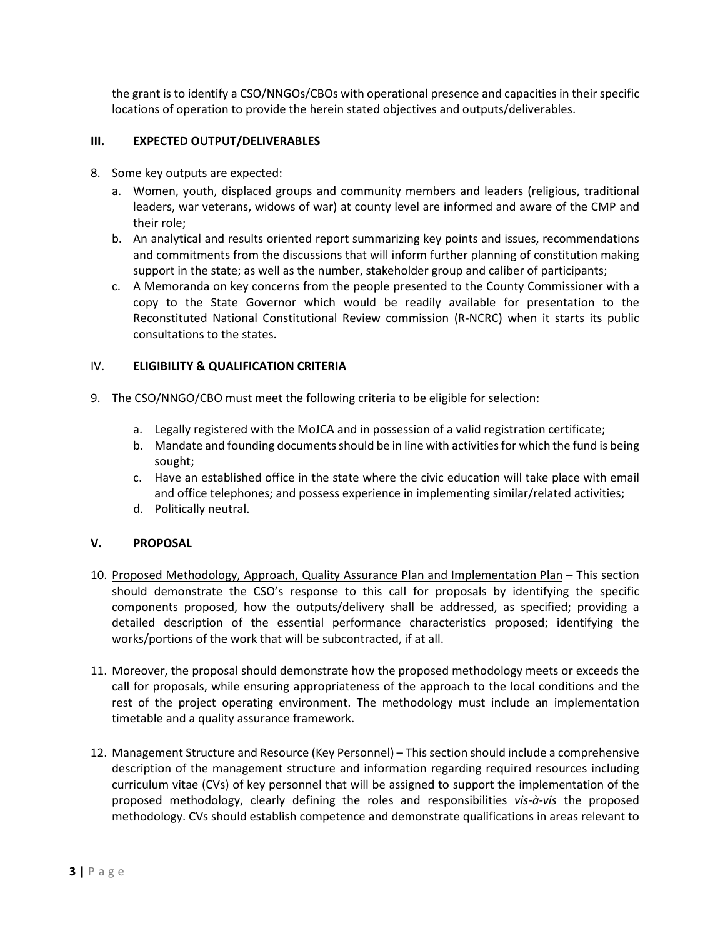the grant is to identify a CSO/NNGOs/CBOs with operational presence and capacities in their specific locations of operation to provide the herein stated objectives and outputs/deliverables.

## **III. EXPECTED OUTPUT/DELIVERABLES**

- 8. Some key outputs are expected:
	- a. Women, youth, displaced groups and community members and leaders (religious, traditional leaders, war veterans, widows of war) at county level are informed and aware of the CMP and their role;
	- b. An analytical and results oriented report summarizing key points and issues, recommendations and commitments from the discussions that will inform further planning of constitution making support in the state; as well as the number, stakeholder group and caliber of participants;
	- c. A Memoranda on key concerns from the people presented to the County Commissioner with a copy to the State Governor which would be readily available for presentation to the Reconstituted National Constitutional Review commission (R-NCRC) when it starts its public consultations to the states.

## IV. **ELIGIBILITY & QUALIFICATION CRITERIA**

- 9. The CSO/NNGO/CBO must meet the following criteria to be eligible for selection:
	- a. Legally registered with the MoJCA and in possession of a valid registration certificate;
	- b. Mandate and founding documents should be in line with activities for which the fund is being sought;
	- c. Have an established office in the state where the civic education will take place with email and office telephones; and possess experience in implementing similar/related activities;
	- d. Politically neutral.

## **V. PROPOSAL**

- 10. Proposed Methodology, Approach, Quality Assurance Plan and Implementation Plan This section should demonstrate the CSO's response to this call for proposals by identifying the specific components proposed, how the outputs/delivery shall be addressed, as specified; providing a detailed description of the essential performance characteristics proposed; identifying the works/portions of the work that will be subcontracted, if at all.
- 11. Moreover, the proposal should demonstrate how the proposed methodology meets or exceeds the call for proposals, while ensuring appropriateness of the approach to the local conditions and the rest of the project operating environment. The methodology must include an implementation timetable and a quality assurance framework.
- 12. Management Structure and Resource (Key Personnel) This section should include a comprehensive description of the management structure and information regarding required resources including curriculum vitae (CVs) of key personnel that will be assigned to support the implementation of the proposed methodology, clearly defining the roles and responsibilities *vis-à-vis* the proposed methodology. CVs should establish competence and demonstrate qualifications in areas relevant to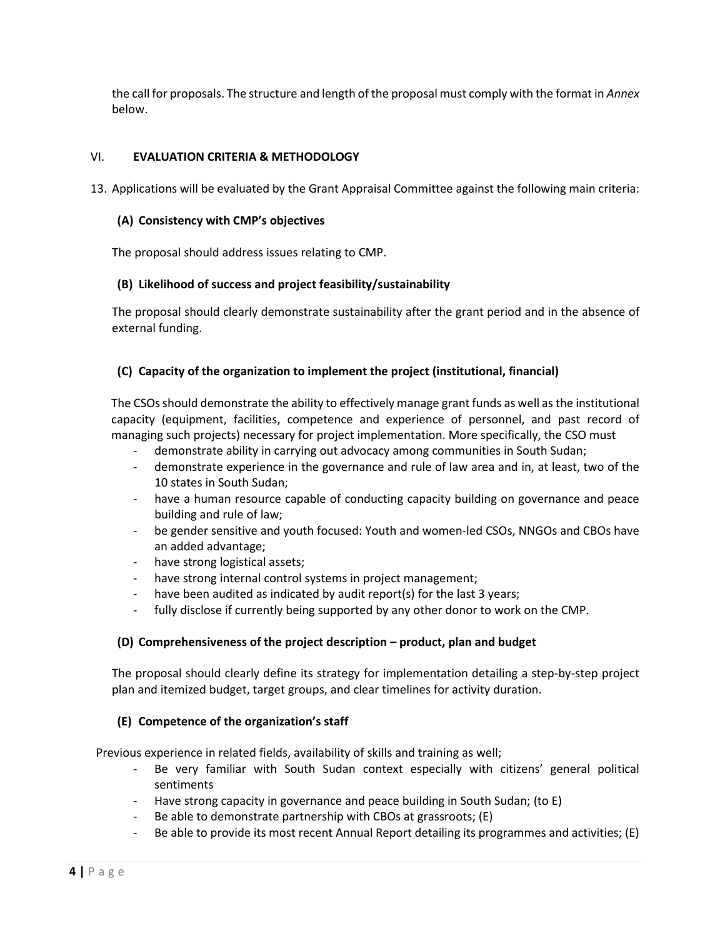the call for proposals. The structure and length of the proposal must comply with the format in *Annex* below.

## VI. **EVALUATION CRITERIA & METHODOLOGY**

13. Applications will be evaluated by the Grant Appraisal Committee against the following main criteria:

### **(A) Consistency with CMP's objectives**

The proposal should address issues relating to CMP.

### **(B) Likelihood of success and project feasibility/sustainability**

The proposal should clearly demonstrate sustainability after the grant period and in the absence of external funding.

## **(C) Capacity of the organization to implement the project (institutional, financial)**

The CSOs should demonstrate the ability to effectively manage grant funds as well as the institutional capacity (equipment, facilities, competence and experience of personnel, and past record of managing such projects) necessary for project implementation. More specifically, the CSO must

- demonstrate ability in carrying out advocacy among communities in South Sudan;
- demonstrate experience in the governance and rule of law area and in, at least, two of the 10 states in South Sudan;
- have a human resource capable of conducting capacity building on governance and peace building and rule of law;
- be gender sensitive and youth focused: Youth and women-led CSOs, NNGOs and CBOs have an added advantage;
- have strong logistical assets;
- have strong internal control systems in project management;
- have been audited as indicated by audit report(s) for the last 3 years;
- fully disclose if currently being supported by any other donor to work on the CMP.

## **(D) Comprehensiveness of the project description – product, plan and budget**

The proposal should clearly define its strategy for implementation detailing a step-by-step project plan and itemized budget, target groups, and clear timelines for activity duration.

## **(E) Competence of the organization's staff**

Previous experience in related fields, availability of skills and training as well;

- Be very familiar with South Sudan context especially with citizens' general political sentiments
- Have strong capacity in governance and peace building in South Sudan; (to E)
- Be able to demonstrate partnership with CBOs at grassroots; (E)
- Be able to provide its most recent Annual Report detailing its programmes and activities; (E)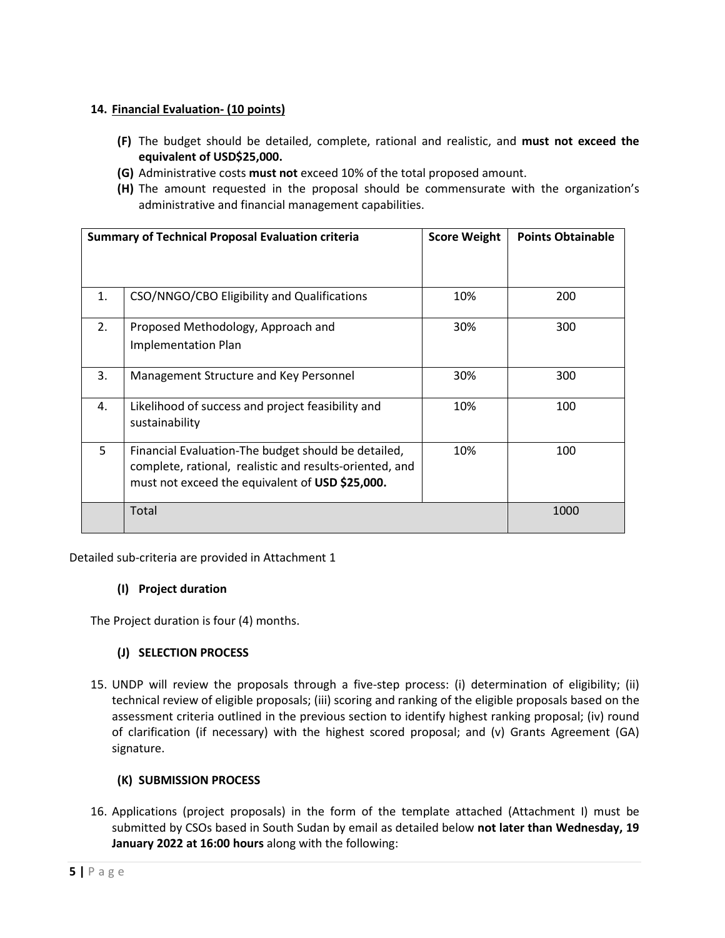# **14. Financial Evaluation- (10 points)**

- **(F)** The budget should be detailed, complete, rational and realistic, and **must not exceed the equivalent of USD\$25,000.**
- **(G)** Administrative costs **must not** exceed 10% of the total proposed amount.
- **(H)** The amount requested in the proposal should be commensurate with the organization's administrative and financial management capabilities.

| <b>Summary of Technical Proposal Evaluation criteria</b> |                                                                                                                                                                   | <b>Score Weight</b> | <b>Points Obtainable</b> |
|----------------------------------------------------------|-------------------------------------------------------------------------------------------------------------------------------------------------------------------|---------------------|--------------------------|
|                                                          |                                                                                                                                                                   |                     |                          |
| $\mathbf{1}$ .                                           | CSO/NNGO/CBO Eligibility and Qualifications                                                                                                                       | 10%                 | 200                      |
| 2.                                                       | Proposed Methodology, Approach and<br><b>Implementation Plan</b>                                                                                                  | 30%                 | 300                      |
| 3.                                                       | Management Structure and Key Personnel                                                                                                                            | 30%                 | 300                      |
| 4.                                                       | Likelihood of success and project feasibility and<br>sustainability                                                                                               | 10%                 | 100                      |
| 5                                                        | Financial Evaluation-The budget should be detailed,<br>complete, rational, realistic and results-oriented, and<br>must not exceed the equivalent of USD \$25,000. | 10%                 | 100                      |
|                                                          | Total                                                                                                                                                             |                     | 1000                     |

Detailed sub-criteria are provided in Attachment 1

# **(I) Project duration**

The Project duration is four (4) months.

# **(J) SELECTION PROCESS**

15. UNDP will review the proposals through a five-step process: (i) determination of eligibility; (ii) technical review of eligible proposals; (iii) scoring and ranking of the eligible proposals based on the assessment criteria outlined in the previous section to identify highest ranking proposal; (iv) round of clarification (if necessary) with the highest scored proposal; and (v) Grants Agreement (GA) signature.

# **(K) SUBMISSION PROCESS**

16. Applications (project proposals) in the form of the template attached (Attachment I) must be submitted by CSOs based in South Sudan by email as detailed below **not later than Wednesday, 19 January 2022 at 16:00 hours** along with the following: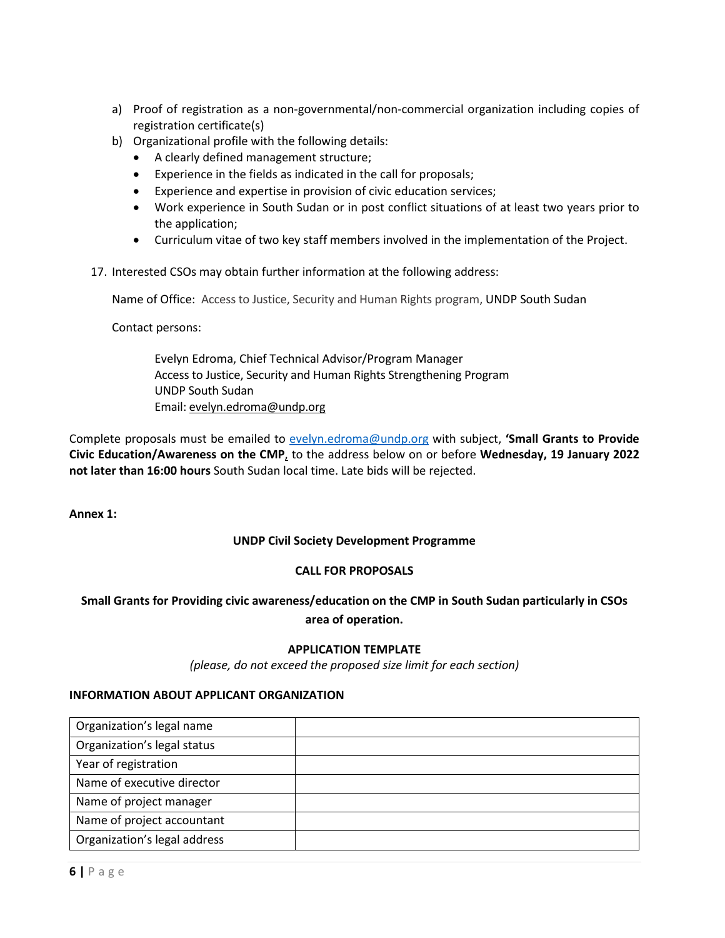- a) Proof of registration as a non-governmental/non-commercial organization including copies of registration certificate(s)
- b) Organizational profile with the following details:
	- A clearly defined management structure;
	- Experience in the fields as indicated in the call for proposals;
	- Experience and expertise in provision of civic education services;
	- Work experience in South Sudan or in post conflict situations of at least two years prior to the application;
	- Curriculum vitae of two key staff members involved in the implementation of the Project.
- 17. Interested CSOs may obtain further information at the following address:

Name of Office: Access to Justice, Security and Human Rights program, UNDP South Sudan

Contact persons:

Evelyn Edroma, Chief Technical Advisor/Program Manager Access to Justice, Security and Human Rights Strengthening Program UNDP South Sudan Email[: evelyn.edroma@undp.org](mailto:evelyn.edroma@undp.org)

Complete proposals must be emailed to [evelyn.edroma@undp.org](mailto:tarkuo.weah@undp.org) with subject, **'Small Grants to Provide Civic Education/Awareness on the CMP**, to the address below on or before **Wednesday, 19 January 2022 not later than 16:00 hours** South Sudan local time. Late bids will be rejected.

**Annex 1:** 

## **UNDP Civil Society Development Programme**

## **CALL FOR PROPOSALS**

# **Small Grants for Providing civic awareness/education on the CMP in South Sudan particularly in CSOs area of operation.**

### **APPLICATION TEMPLATE**

*(please, do not exceed the proposed size limit for each section)*

### **INFORMATION ABOUT APPLICANT ORGANIZATION**

| Organization's legal name    |  |
|------------------------------|--|
| Organization's legal status  |  |
| Year of registration         |  |
| Name of executive director   |  |
| Name of project manager      |  |
| Name of project accountant   |  |
| Organization's legal address |  |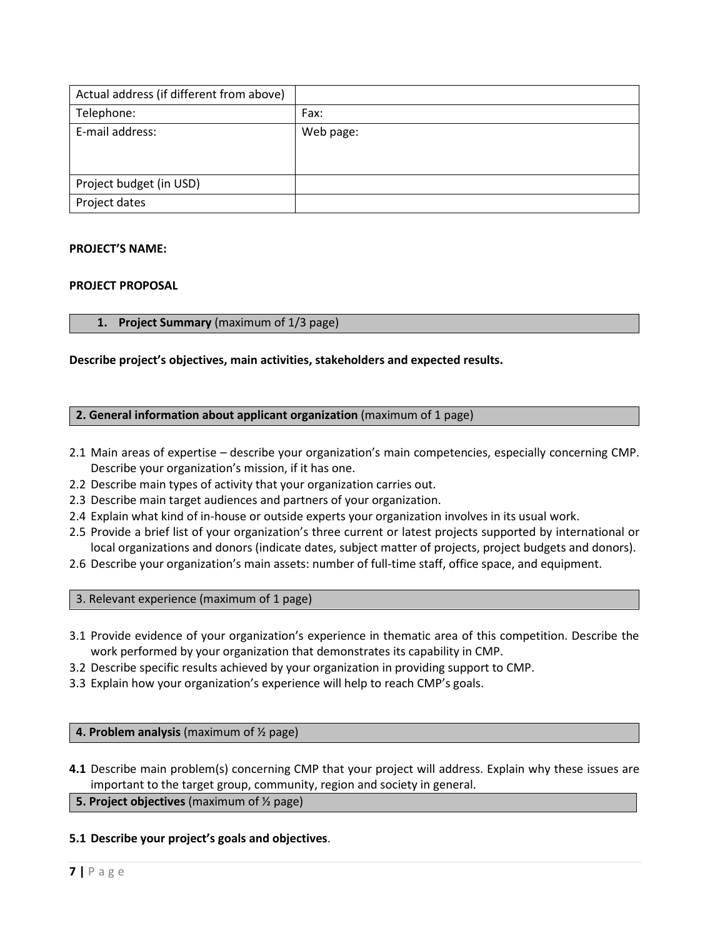| Actual address (if different from above) |           |
|------------------------------------------|-----------|
| Telephone:                               | Fax:      |
| E-mail address:                          | Web page: |
| Project budget (in USD)                  |           |
| Project dates                            |           |

### **PROJECT'S NAME:**

#### **PROJECT PROPOSAL**

### **1. Project Summary** (maximum of 1/3 page)

### **Describe project's objectives, main activities, stakeholders and expected results.**

### **2. General information about applicant organization** (maximum of 1 page)

- 2.1 Main areas of expertise describe your organization's main competencies, especially concerning CMP. Describe your organization's mission, if it has one.
- 2.2 Describe main types of activity that your organization carries out.
- 2.3 Describe main target audiences and partners of your organization.
- 2.4 Explain what kind of in-house or outside experts your organization involves in its usual work.
- 2.5 Provide a brief list of your organization's three current or latest projects supported by international or local organizations and donors (indicate dates, subject matter of projects, project budgets and donors).
- 2.6 Describe your organization's main assets: number of full-time staff, office space, and equipment.

3. Relevant experience (maximum of 1 page)

- 3.1 Provide evidence of your organization's experience in thematic area of this competition. Describe the work performed by your organization that demonstrates its capability in CMP.
- 3.2 Describe specific results achieved by your organization in providing support to CMP.
- 3.3 Explain how your organization's experience will help to reach CMP's goals.

### **4. Problem analysis** (maximum of ½ page)

**4.1** Describe main problem(s) concerning CMP that your project will address. Explain why these issues are important to the target group, community, region and society in general.

### **5. Project objectives** (maximum of ½ page)

### **5.1 Describe your project's goals and objectives**.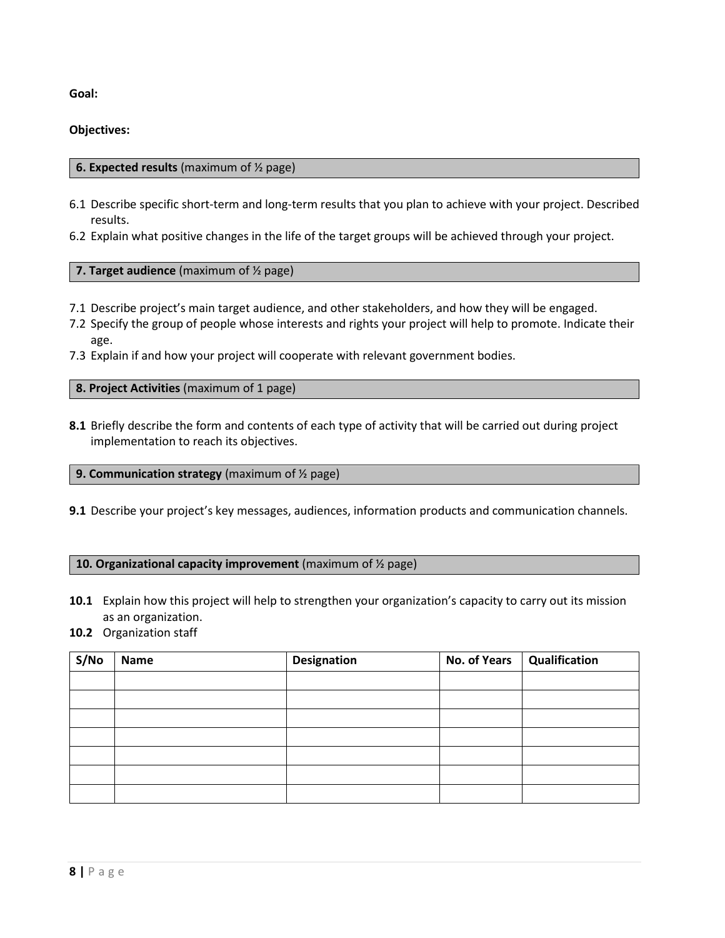**Goal:**

## **Objectives:**

## **6. Expected results** (maximum of ½ page)

- 6.1 Describe specific short-term and long-term results that you plan to achieve with your project. Described results.
- 6.2 Explain what positive changes in the life of the target groups will be achieved through your project.

## **7. Target audience** (maximum of ½ page)

- 7.1 Describe project's main target audience, and other stakeholders, and how they will be engaged.
- 7.2 Specify the group of people whose interests and rights your project will help to promote. Indicate their age.
- 7.3 Explain if and how your project will cooperate with relevant government bodies.

**8. Project Activities** (maximum of 1 page)

**8.1** Briefly describe the form and contents of each type of activity that will be carried out during project implementation to reach its objectives.

## **9. Communication strategy** (maximum of ½ page)

**9.1** Describe your project's key messages, audiences, information products and communication channels.

## **10. Organizational capacity improvement** (maximum of ½ page)

- **10.1** Explain how this project will help to strengthen your organization's capacity to carry out its mission as an organization.
- **10.2** Organization staff

| S/No | <b>Name</b> | <b>Designation</b> | <b>No. of Years</b> | Qualification |
|------|-------------|--------------------|---------------------|---------------|
|      |             |                    |                     |               |
|      |             |                    |                     |               |
|      |             |                    |                     |               |
|      |             |                    |                     |               |
|      |             |                    |                     |               |
|      |             |                    |                     |               |
|      |             |                    |                     |               |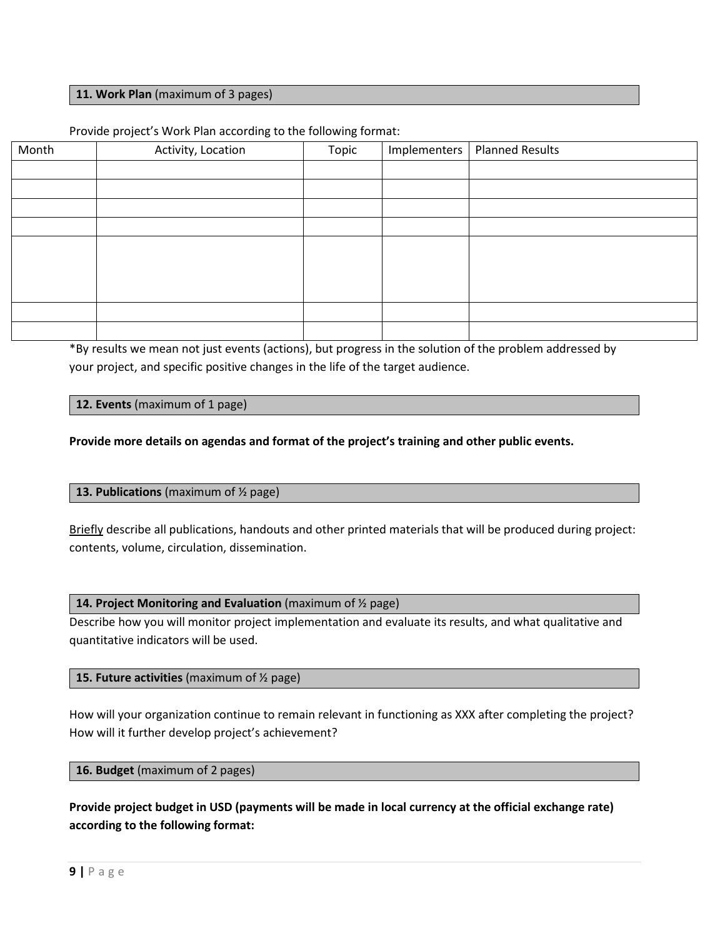### **11. Work Plan** (maximum of 3 pages)

### Provide project's Work Plan according to the following format:

| Month | Activity, Location | Topic | Implementers   Planned Results |
|-------|--------------------|-------|--------------------------------|
|       |                    |       |                                |
|       |                    |       |                                |
|       |                    |       |                                |
|       |                    |       |                                |
|       |                    |       |                                |
|       |                    |       |                                |
|       |                    |       |                                |
|       |                    |       |                                |
|       |                    |       |                                |
|       |                    |       |                                |

\*By results we mean not just events (actions), but progress in the solution of the problem addressed by your project, and specific positive changes in the life of the target audience.

### **12. Events** (maximum of 1 page)

**Provide more details on agendas and format of the project's training and other public events.**

### **13. Publications** (maximum of ½ page)

Briefly describe all publications, handouts and other printed materials that will be produced during project: contents, volume, circulation, dissemination.

#### **14. Project Monitoring and Evaluation** (maximum of ½ page)

Describe how you will monitor project implementation and evaluate its results, and what qualitative and quantitative indicators will be used.

### **15. Future activities** (maximum of ½ page)

How will your organization continue to remain relevant in functioning as XXX after completing the project? How will it further develop project's achievement?

### **16. Budget** (maximum of 2 pages)

**Provide project budget in USD (payments will be made in local currency at the official exchange rate) according to the following format:**